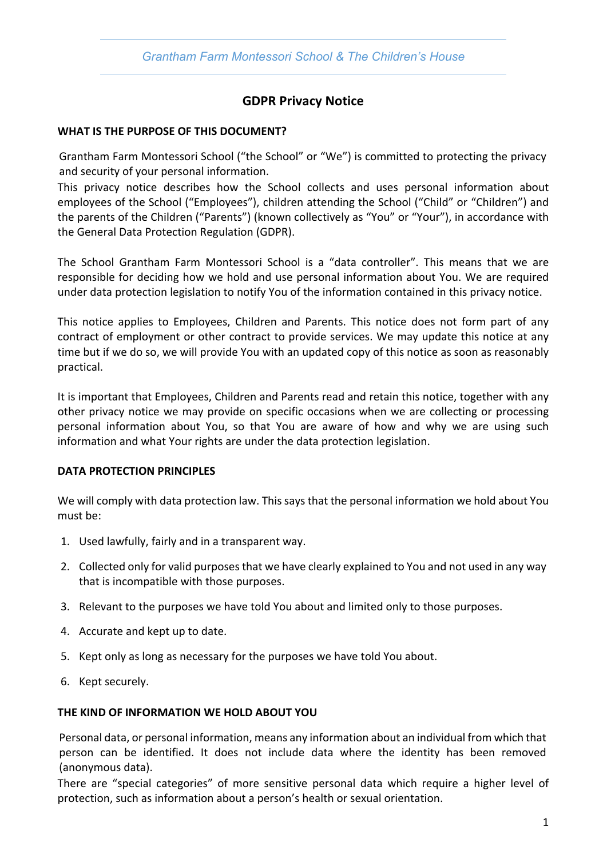

# **GDPR Privacy Notice**

## **WHAT IS THE PURPOSE OF THIS DOCUMENT?**

Grantham Farm Montessori School ("the School" or "We") is committed to protecting the privacy and security of your personal information.

This privacy notice describes how the School collects and uses personal information about employees of the School ("Employees"), children attending the School ("Child" or "Children") and the parents of the Children ("Parents") (known collectively as "You" or "Your"), in accordance with the General Data Protection Regulation (GDPR).

The School Grantham Farm Montessori School is a "data controller". This means that we are responsible for deciding how we hold and use personal information about You. We are required under data protection legislation to notify You of the information contained in this privacy notice.

This notice applies to Employees, Children and Parents. This notice does not form part of any contract of employment or other contract to provide services. We may update this notice at any time but if we do so, we will provide You with an updated copy of this notice as soon as reasonably practical.

It is important that Employees, Children and Parents read and retain this notice, together with any other privacy notice we may provide on specific occasions when we are collecting or processing personal information about You, so that You are aware of how and why we are using such information and what Your rights are under the data protection legislation.

#### **DATA PROTECTION PRINCIPLES**

We will comply with data protection law. This says that the personal information we hold about You must be:

- 1. Used lawfully, fairly and in a transparent way.
- 2. Collected only for valid purposes that we have clearly explained to You and not used in any way that is incompatible with those purposes.
- 3. Relevant to the purposes we have told You about and limited only to those purposes.
- 4. Accurate and kept up to date.
- 5. Kept only as long as necessary for the purposes we have told You about.
- 6. Kept securely.

#### **THE KIND OF INFORMATION WE HOLD ABOUT YOU**

Personal data, or personal information, means any information about an individual from which that person can be identified. It does not include data where the identity has been removed (anonymous data).

There are "special categories" of more sensitive personal data which require a higher level of protection, such as information about a person's health or sexual orientation.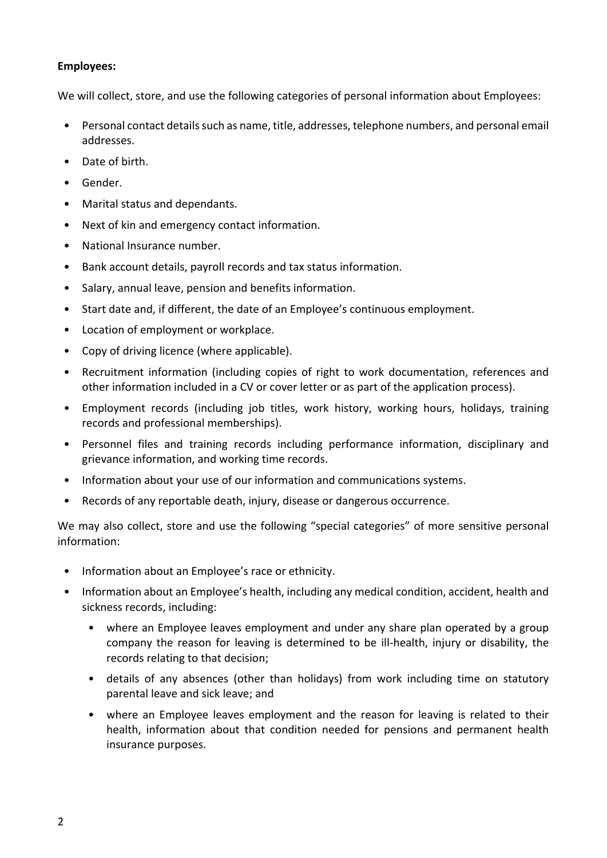## **Employees:**

We will collect, store, and use the following categories of personal information about Employees:

- Personal contact details such as name, title, addresses, telephone numbers, and personal email addresses.
- Date of birth.
- Gender.
- Marital status and dependants.
- Next of kin and emergency contact information.
- National Insurance number.
- Bank account details, payroll records and tax status information.
- Salary, annual leave, pension and benefits information.
- Start date and, if different, the date of an Employee's continuous employment.
- Location of employment or workplace.
- Copy of driving licence (where applicable).
- Recruitment information (including copies of right to work documentation, references and other information included in a CV or cover letter or as part of the application process).
- Employment records (including job titles, work history, working hours, holidays, training records and professional memberships).
- Personnel files and training records including performance information, disciplinary and grievance information, and working time records.
- Information about your use of our information and communications systems.
- Records of any reportable death, injury, disease or dangerous occurrence.

We may also collect, store and use the following "special categories" of more sensitive personal information:

- Information about an Employee's race or ethnicity.
- Information about an Employee's health, including any medical condition, accident, health and sickness records, including:
	- where an Employee leaves employment and under any share plan operated by a group company the reason for leaving is determined to be ill-health, injury or disability, the records relating to that decision;
	- details of any absences (other than holidays) from work including time on statutory parental leave and sick leave; and
	- where an Employee leaves employment and the reason for leaving is related to their health, information about that condition needed for pensions and permanent health insurance purposes.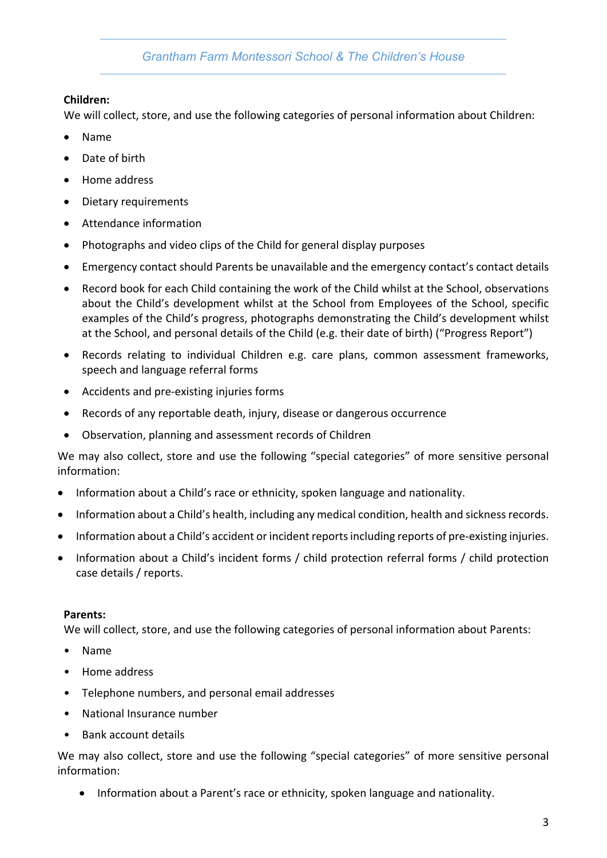# **Children:**

We will collect, store, and use the following categories of personal information about Children:

- Name
- Date of hirth
- Home address
- Dietary requirements
- Attendance information
- Photographs and video clips of the Child for general display purposes
- Emergency contact should Parents be unavailable and the emergency contact's contact details
- Record book for each Child containing the work of the Child whilst at the School, observations about the Child's development whilst at the School from Employees of the School, specific examples of the Child's progress, photographs demonstrating the Child's development whilst at the School, and personal details of the Child (e.g. their date of birth) ("Progress Report")
- Records relating to individual Children e.g. care plans, common assessment frameworks, speech and language referral forms
- Accidents and pre-existing injuries forms
- Records of any reportable death, injury, disease or dangerous occurrence
- Observation, planning and assessment records of Children

We may also collect, store and use the following "special categories" of more sensitive personal information:

- Information about a Child's race or ethnicity, spoken language and nationality.
- Information about a Child's health, including any medical condition, health and sickness records.
- Information about a Child's accident or incident reports including reports of pre-existing injuries.
- Information about a Child's incident forms / child protection referral forms / child protection case details / reports.

# **Parents:**

We will collect, store, and use the following categories of personal information about Parents:

- Name
- Home address
- Telephone numbers, and personal email addresses
- National Insurance number
- Bank account details

We may also collect, store and use the following "special categories" of more sensitive personal information:

• Information about a Parent's race or ethnicity, spoken language and nationality.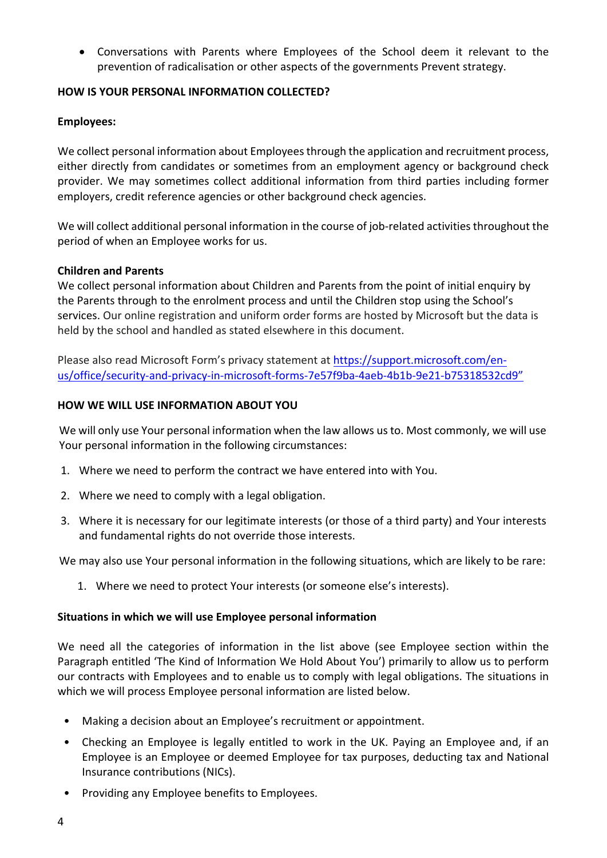• Conversations with Parents where Employees of the School deem it relevant to the prevention of radicalisation or other aspects of the governments Prevent strategy.

#### **HOW IS YOUR PERSONAL INFORMATION COLLECTED?**

#### **Employees:**

We collect personal information about Employees through the application and recruitment process, either directly from candidates or sometimes from an employment agency or background check provider. We may sometimes collect additional information from third parties including former employers, credit reference agencies or other background check agencies.

We will collect additional personal information in the course of job-related activities throughout the period of when an Employee works for us.

#### **Children and Parents**

We collect personal information about Children and Parents from the point of initial enquiry by the Parents through to the enrolment process and until the Children stop using the School's services. Our online registration and uniform order forms are hosted by Microsoft but the data is held by the school and handled as stated elsewhere in this document.

Please also read Microsoft Form's privacy statement at https://support.microsoft.com/enus/office/security-and-privacy-in-microsoft-forms-7e57f9ba-4aeb-4b1b-9e21-b75318532cd9"

#### **HOW WE WILL USE INFORMATION ABOUT YOU**

We will only use Your personal information when the law allows us to. Most commonly, we will use Your personal information in the following circumstances:

- 1. Where we need to perform the contract we have entered into with You.
- 2. Where we need to comply with a legal obligation.
- 3. Where it is necessary for our legitimate interests (or those of a third party) and Your interests and fundamental rights do not override those interests.

We may also use Your personal information in the following situations, which are likely to be rare:

1. Where we need to protect Your interests (or someone else's interests).

#### **Situations in which we will use Employee personal information**

We need all the categories of information in the list above (see Employee section within the Paragraph entitled 'The Kind of Information We Hold About You') primarily to allow us to perform our contracts with Employees and to enable us to comply with legal obligations. The situations in which we will process Employee personal information are listed below.

- Making a decision about an Employee's recruitment or appointment.
- Checking an Employee is legally entitled to work in the UK. Paying an Employee and, if an Employee is an Employee or deemed Employee for tax purposes, deducting tax and National Insurance contributions (NICs).
- Providing any Employee benefits to Employees.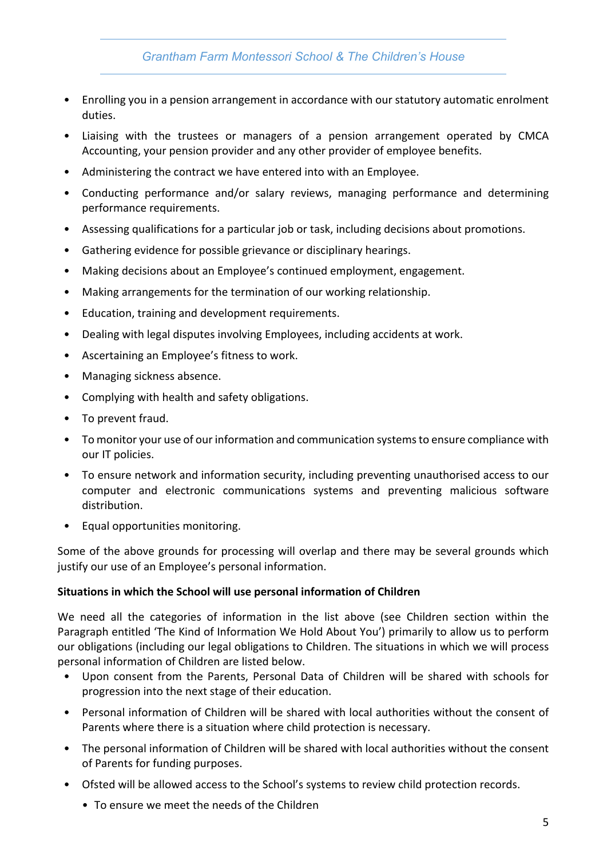- Enrolling you in a pension arrangement in accordance with our statutory automatic enrolment duties.
- Liaising with the trustees or managers of a pension arrangement operated by CMCA Accounting, your pension provider and any other provider of employee benefits.
- Administering the contract we have entered into with an Employee.
- Conducting performance and/or salary reviews, managing performance and determining performance requirements.
- Assessing qualifications for a particular job or task, including decisions about promotions.
- Gathering evidence for possible grievance or disciplinary hearings.
- Making decisions about an Employee's continued employment, engagement.
- Making arrangements for the termination of our working relationship.
- Education, training and development requirements.
- Dealing with legal disputes involving Employees, including accidents at work.
- Ascertaining an Employee's fitness to work.
- Managing sickness absence.
- Complying with health and safety obligations.
- To prevent fraud.
- To monitor your use of our information and communication systems to ensure compliance with our IT policies.
- To ensure network and information security, including preventing unauthorised access to our computer and electronic communications systems and preventing malicious software distribution.
- Equal opportunities monitoring.

Some of the above grounds for processing will overlap and there may be several grounds which justify our use of an Employee's personal information.

## **Situations in which the School will use personal information of Children**

We need all the categories of information in the list above (see Children section within the Paragraph entitled 'The Kind of Information We Hold About You') primarily to allow us to perform our obligations (including our legal obligations to Children. The situations in which we will process personal information of Children are listed below.

- Upon consent from the Parents, Personal Data of Children will be shared with schools for progression into the next stage of their education.
- Personal information of Children will be shared with local authorities without the consent of Parents where there is a situation where child protection is necessary.
- The personal information of Children will be shared with local authorities without the consent of Parents for funding purposes.
- Ofsted will be allowed access to the School's systems to review child protection records.
	- To ensure we meet the needs of the Children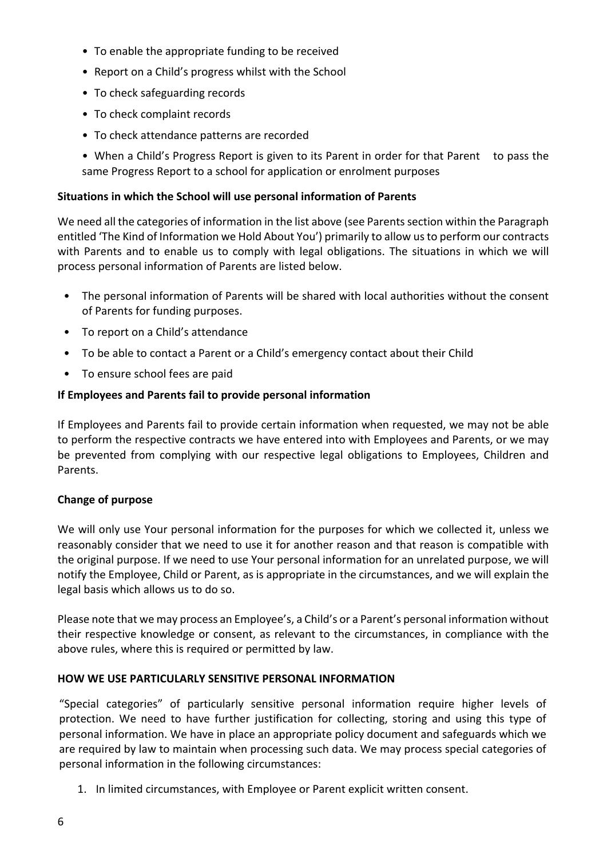- To enable the appropriate funding to be received
- Report on a Child's progress whilst with the School
- To check safeguarding records
- To check complaint records
- To check attendance patterns are recorded

• When a Child's Progress Report is given to its Parent in order for that Parent to pass the same Progress Report to a school for application or enrolment purposes

#### **Situations in which the School will use personal information of Parents**

We need all the categories of information in the list above (see Parents section within the Paragraph entitled 'The Kind of Information we Hold About You') primarily to allow us to perform our contracts with Parents and to enable us to comply with legal obligations. The situations in which we will process personal information of Parents are listed below.

- The personal information of Parents will be shared with local authorities without the consent of Parents for funding purposes.
- To report on a Child's attendance
- To be able to contact a Parent or a Child's emergency contact about their Child
- To ensure school fees are paid

## **If Employees and Parents fail to provide personal information**

If Employees and Parents fail to provide certain information when requested, we may not be able to perform the respective contracts we have entered into with Employees and Parents, or we may be prevented from complying with our respective legal obligations to Employees, Children and Parents.

## **Change of purpose**

We will only use Your personal information for the purposes for which we collected it, unless we reasonably consider that we need to use it for another reason and that reason is compatible with the original purpose. If we need to use Your personal information for an unrelated purpose, we will notify the Employee, Child or Parent, as is appropriate in the circumstances, and we will explain the legal basis which allows us to do so.

Please note that we may process an Employee's, a Child's or a Parent's personal information without their respective knowledge or consent, as relevant to the circumstances, in compliance with the above rules, where this is required or permitted by law.

## **HOW WE USE PARTICULARLY SENSITIVE PERSONAL INFORMATION**

"Special categories" of particularly sensitive personal information require higher levels of protection. We need to have further justification for collecting, storing and using this type of personal information. We have in place an appropriate policy document and safeguards which we are required by law to maintain when processing such data. We may process special categories of personal information in the following circumstances:

1. In limited circumstances, with Employee or Parent explicit written consent.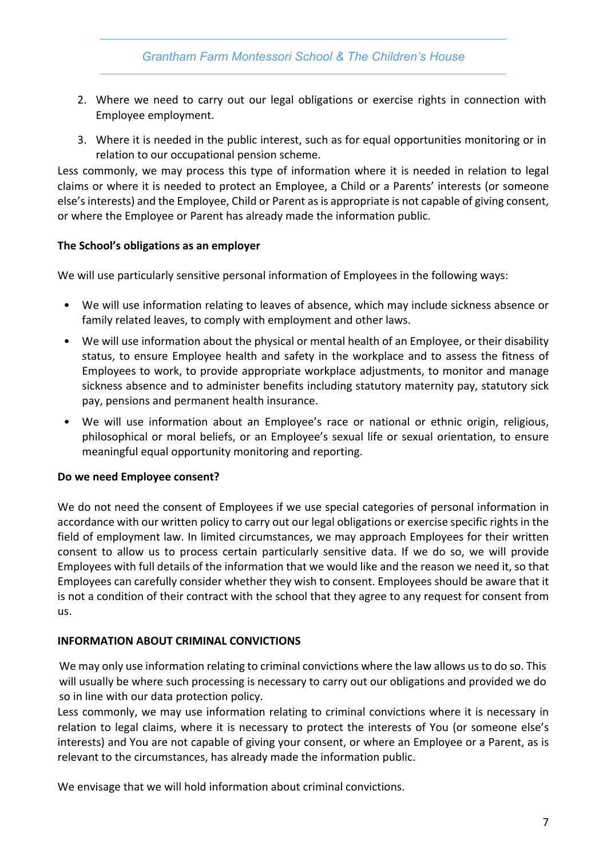- 2. Where we need to carry out our legal obligations or exercise rights in connection with Employee employment.
- 3. Where it is needed in the public interest, such as for equal opportunities monitoring or in relation to our occupational pension scheme.

Less commonly, we may process this type of information where it is needed in relation to legal claims or where it is needed to protect an Employee, a Child or a Parents' interests (or someone else's interests) and the Employee, Child or Parent as is appropriate is not capable of giving consent, or where the Employee or Parent has already made the information public.

## **The School's obligations as an employer**

We will use particularly sensitive personal information of Employees in the following ways:

- We will use information relating to leaves of absence, which may include sickness absence or family related leaves, to comply with employment and other laws.
- We will use information about the physical or mental health of an Employee, or their disability status, to ensure Employee health and safety in the workplace and to assess the fitness of Employees to work, to provide appropriate workplace adjustments, to monitor and manage sickness absence and to administer benefits including statutory maternity pay, statutory sick pay, pensions and permanent health insurance.
- We will use information about an Employee's race or national or ethnic origin, religious, philosophical or moral beliefs, or an Employee's sexual life or sexual orientation, to ensure meaningful equal opportunity monitoring and reporting.

## **Do we need Employee consent?**

We do not need the consent of Employees if we use special categories of personal information in accordance with our written policy to carry out our legal obligations or exercise specific rights in the field of employment law. In limited circumstances, we may approach Employees for their written consent to allow us to process certain particularly sensitive data. If we do so, we will provide Employees with full details of the information that we would like and the reason we need it, so that Employees can carefully consider whether they wish to consent. Employees should be aware that it is not a condition of their contract with the school that they agree to any request for consent from us.

## **INFORMATION ABOUT CRIMINAL CONVICTIONS**

We may only use information relating to criminal convictions where the law allows us to do so. This will usually be where such processing is necessary to carry out our obligations and provided we do so in line with our data protection policy.

Less commonly, we may use information relating to criminal convictions where it is necessary in relation to legal claims, where it is necessary to protect the interests of You (or someone else's interests) and You are not capable of giving your consent, or where an Employee or a Parent, as is relevant to the circumstances, has already made the information public.

We envisage that we will hold information about criminal convictions.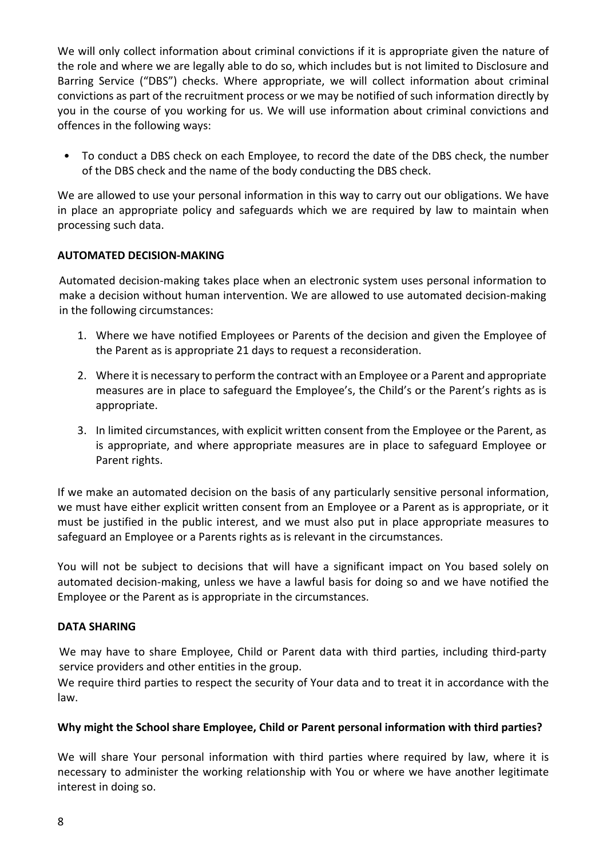We will only collect information about criminal convictions if it is appropriate given the nature of the role and where we are legally able to do so, which includes but is not limited to Disclosure and Barring Service ("DBS") checks. Where appropriate, we will collect information about criminal convictions as part of the recruitment process or we may be notified of such information directly by you in the course of you working for us. We will use information about criminal convictions and offences in the following ways:

• To conduct a DBS check on each Employee, to record the date of the DBS check, the number of the DBS check and the name of the body conducting the DBS check.

We are allowed to use your personal information in this way to carry out our obligations. We have in place an appropriate policy and safeguards which we are required by law to maintain when processing such data.

## **AUTOMATED DECISION-MAKING**

Automated decision-making takes place when an electronic system uses personal information to make a decision without human intervention. We are allowed to use automated decision-making in the following circumstances:

- 1. Where we have notified Employees or Parents of the decision and given the Employee of the Parent as is appropriate 21 days to request a reconsideration.
- 2. Where it is necessary to perform the contract with an Employee or a Parent and appropriate measures are in place to safeguard the Employee's, the Child's or the Parent's rights as is appropriate.
- 3. In limited circumstances, with explicit written consent from the Employee or the Parent, as is appropriate, and where appropriate measures are in place to safeguard Employee or Parent rights.

If we make an automated decision on the basis of any particularly sensitive personal information, we must have either explicit written consent from an Employee or a Parent as is appropriate, or it must be justified in the public interest, and we must also put in place appropriate measures to safeguard an Employee or a Parents rights as is relevant in the circumstances.

You will not be subject to decisions that will have a significant impact on You based solely on automated decision-making, unless we have a lawful basis for doing so and we have notified the Employee or the Parent as is appropriate in the circumstances.

## **DATA SHARING**

We may have to share Employee, Child or Parent data with third parties, including third-party service providers and other entities in the group.

We require third parties to respect the security of Your data and to treat it in accordance with the law.

## **Why might the School share Employee, Child or Parent personal information with third parties?**

We will share Your personal information with third parties where required by law, where it is necessary to administer the working relationship with You or where we have another legitimate interest in doing so.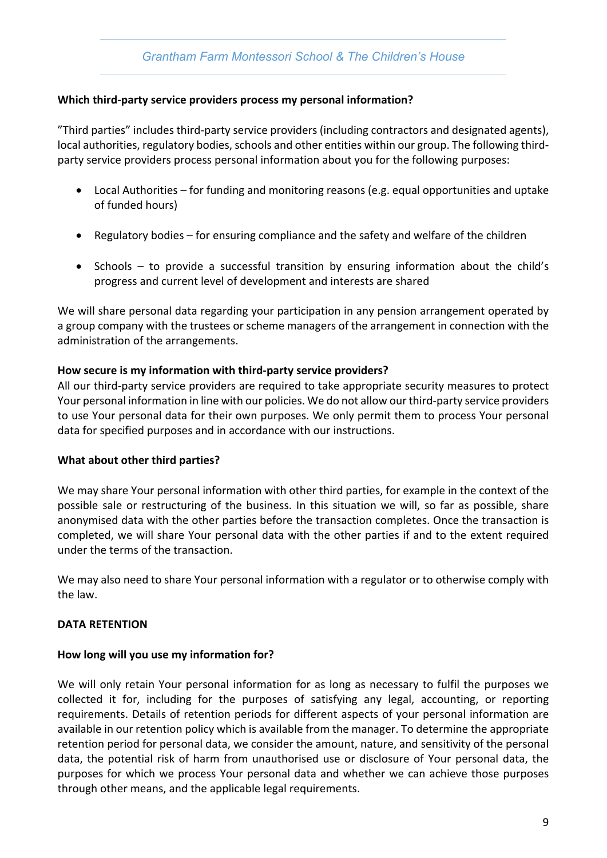## **Which third-party service providers process my personal information?**

"Third parties" includes third-party service providers (including contractors and designated agents), local authorities, regulatory bodies, schools and other entities within our group. The following thirdparty service providers process personal information about you for the following purposes:

- Local Authorities for funding and monitoring reasons (e.g. equal opportunities and uptake of funded hours)
- Regulatory bodies for ensuring compliance and the safety and welfare of the children
- Schools to provide a successful transition by ensuring information about the child's progress and current level of development and interests are shared

We will share personal data regarding your participation in any pension arrangement operated by a group company with the trustees or scheme managers of the arrangement in connection with the administration of the arrangements.

#### **How secure is my information with third-party service providers?**

All our third-party service providers are required to take appropriate security measures to protect Your personal information in line with our policies. We do not allow our third-party service providers to use Your personal data for their own purposes. We only permit them to process Your personal data for specified purposes and in accordance with our instructions.

#### **What about other third parties?**

We may share Your personal information with other third parties, for example in the context of the possible sale or restructuring of the business. In this situation we will, so far as possible, share anonymised data with the other parties before the transaction completes. Once the transaction is completed, we will share Your personal data with the other parties if and to the extent required under the terms of the transaction.

We may also need to share Your personal information with a regulator or to otherwise comply with the law.

## **DATA RETENTION**

#### **How long will you use my information for?**

We will only retain Your personal information for as long as necessary to fulfil the purposes we collected it for, including for the purposes of satisfying any legal, accounting, or reporting requirements. Details of retention periods for different aspects of your personal information are available in our retention policy which is available from the manager. To determine the appropriate retention period for personal data, we consider the amount, nature, and sensitivity of the personal data, the potential risk of harm from unauthorised use or disclosure of Your personal data, the purposes for which we process Your personal data and whether we can achieve those purposes through other means, and the applicable legal requirements.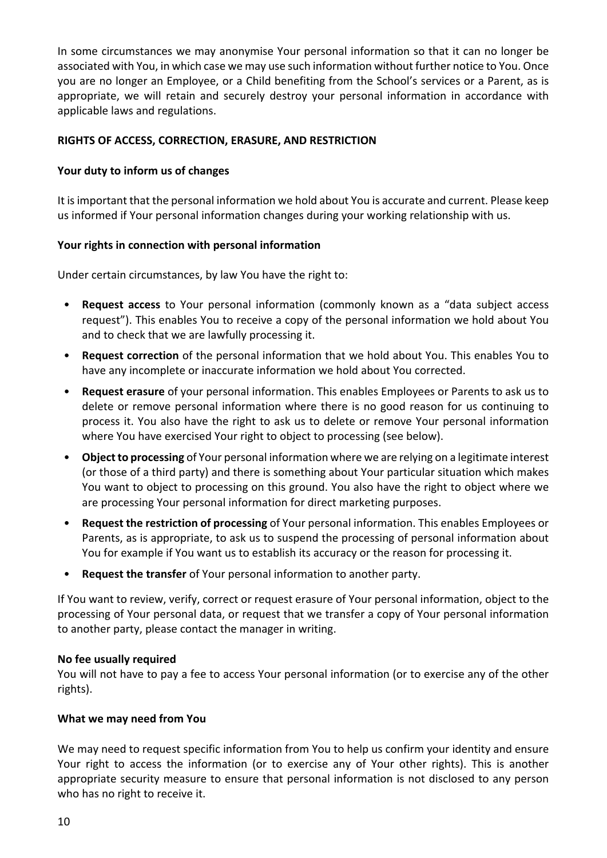In some circumstances we may anonymise Your personal information so that it can no longer be associated with You, in which case we may use such information without further notice to You. Once you are no longer an Employee, or a Child benefiting from the School's services or a Parent, as is appropriate, we will retain and securely destroy your personal information in accordance with applicable laws and regulations.

## **RIGHTS OF ACCESS, CORRECTION, ERASURE, AND RESTRICTION**

## **Your duty to inform us of changes**

It is important that the personal information we hold about You is accurate and current. Please keep us informed if Your personal information changes during your working relationship with us.

#### **Your rights in connection with personal information**

Under certain circumstances, by law You have the right to:

- **Request access** to Your personal information (commonly known as a "data subject access request"). This enables You to receive a copy of the personal information we hold about You and to check that we are lawfully processing it.
- **Request correction** of the personal information that we hold about You. This enables You to have any incomplete or inaccurate information we hold about You corrected.
- **Request erasure** of your personal information. This enables Employees or Parents to ask us to delete or remove personal information where there is no good reason for us continuing to process it. You also have the right to ask us to delete or remove Your personal information where You have exercised Your right to object to processing (see below).
- **Object to processing** of Your personal information where we are relying on a legitimate interest (or those of a third party) and there is something about Your particular situation which makes You want to object to processing on this ground. You also have the right to object where we are processing Your personal information for direct marketing purposes.
- **Request the restriction of processing** of Your personal information. This enables Employees or Parents, as is appropriate, to ask us to suspend the processing of personal information about You for example if You want us to establish its accuracy or the reason for processing it.
- **Request the transfer** of Your personal information to another party.

If You want to review, verify, correct or request erasure of Your personal information, object to the processing of Your personal data, or request that we transfer a copy of Your personal information to another party, please contact the manager in writing.

#### **No fee usually required**

You will not have to pay a fee to access Your personal information (or to exercise any of the other rights).

## **What we may need from You**

We may need to request specific information from You to help us confirm your identity and ensure Your right to access the information (or to exercise any of Your other rights). This is another appropriate security measure to ensure that personal information is not disclosed to any person who has no right to receive it.